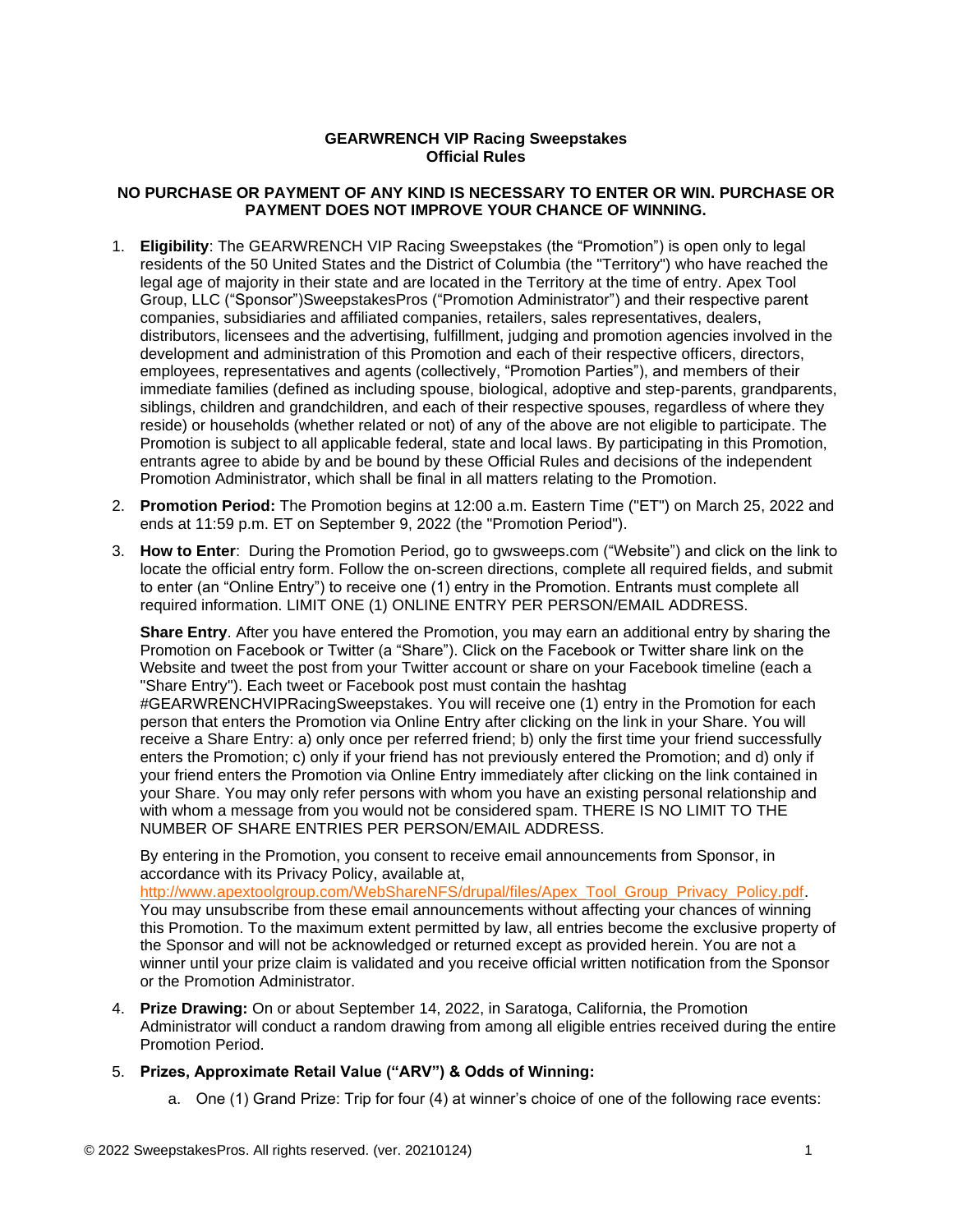## **GEARWRENCH VIP Racing Sweepstakes Official Rules**

## **NO PURCHASE OR PAYMENT OF ANY KIND IS NECESSARY TO ENTER OR WIN. PURCHASE OR PAYMENT DOES NOT IMPROVE YOUR CHANCE OF WINNING.**

- 1. **Eligibility**: The GEARWRENCH VIP Racing Sweepstakes (the "Promotion") is open only to legal residents of the 50 United States and the District of Columbia (the "Territory") who have reached the legal age of majority in their state and are located in the Territory at the time of entry. Apex Tool Group, LLC ("Sponsor")SweepstakesPros ("Promotion Administrator") and their respective parent companies, subsidiaries and affiliated companies, retailers, sales representatives, dealers, distributors, licensees and the advertising, fulfillment, judging and promotion agencies involved in the development and administration of this Promotion and each of their respective officers, directors, employees, representatives and agents (collectively, "Promotion Parties"), and members of their immediate families (defined as including spouse, biological, adoptive and step-parents, grandparents, siblings, children and grandchildren, and each of their respective spouses, regardless of where they reside) or households (whether related or not) of any of the above are not eligible to participate. The Promotion is subject to all applicable federal, state and local laws. By participating in this Promotion, entrants agree to abide by and be bound by these Official Rules and decisions of the independent Promotion Administrator, which shall be final in all matters relating to the Promotion.
- 2. **Promotion Period:** The Promotion begins at 12:00 a.m. Eastern Time ("ET") on March 25, 2022 and ends at 11:59 p.m. ET on September 9, 2022 (the "Promotion Period").
- 3. **How to Enter**: During the Promotion Period, go to gwsweeps.com ("Website") and click on the link to locate the official entry form. Follow the on-screen directions, complete all required fields, and submit to enter (an "Online Entry") to receive one (1) entry in the Promotion. Entrants must complete all required information. LIMIT ONE (1) ONLINE ENTRY PER PERSON/EMAIL ADDRESS.

**Share Entry**. After you have entered the Promotion, you may earn an additional entry by sharing the Promotion on Facebook or Twitter (a "Share"). Click on the Facebook or Twitter share link on the Website and tweet the post from your Twitter account or share on your Facebook timeline (each a "Share Entry"). Each tweet or Facebook post must contain the hashtag #GEARWRENCHVIPRacingSweepstakes. You will receive one (1) entry in the Promotion for each person that enters the Promotion via Online Entry after clicking on the link in your Share. You will receive a Share Entry: a) only once per referred friend; b) only the first time your friend successfully

enters the Promotion; c) only if your friend has not previously entered the Promotion; and d) only if your friend enters the Promotion via Online Entry immediately after clicking on the link contained in your Share. You may only refer persons with whom you have an existing personal relationship and with whom a message from you would not be considered spam. THERE IS NO LIMIT TO THE NUMBER OF SHARE ENTRIES PER PERSON/EMAIL ADDRESS.

By entering in the Promotion, you consent to receive email announcements from Sponsor, in accordance with its Privacy Policy, available at,

[http://www.apextoolgroup.com/WebShareNFS/drupal/files/Apex\\_Tool\\_Group\\_Privacy\\_Policy.pdf.](http://www.apextoolgroup.com/WebShareNFS/drupal/files/Apex_Tool_Group_Privacy_Policy.pdf) You may unsubscribe from these email announcements without affecting your chances of winning this Promotion. To the maximum extent permitted by law, all entries become the exclusive property of the Sponsor and will not be acknowledged or returned except as provided herein. You are not a winner until your prize claim is validated and you receive official written notification from the Sponsor or the Promotion Administrator.

4. **Prize Drawing:** On or about September 14, 2022, in Saratoga, California, the Promotion Administrator will conduct a random drawing from among all eligible entries received during the entire Promotion Period.

## 5. **Prizes, Approximate Retail Value ("ARV") & Odds of Winning:**

a. One (1) Grand Prize: Trip for four (4) at winner's choice of one of the following race events: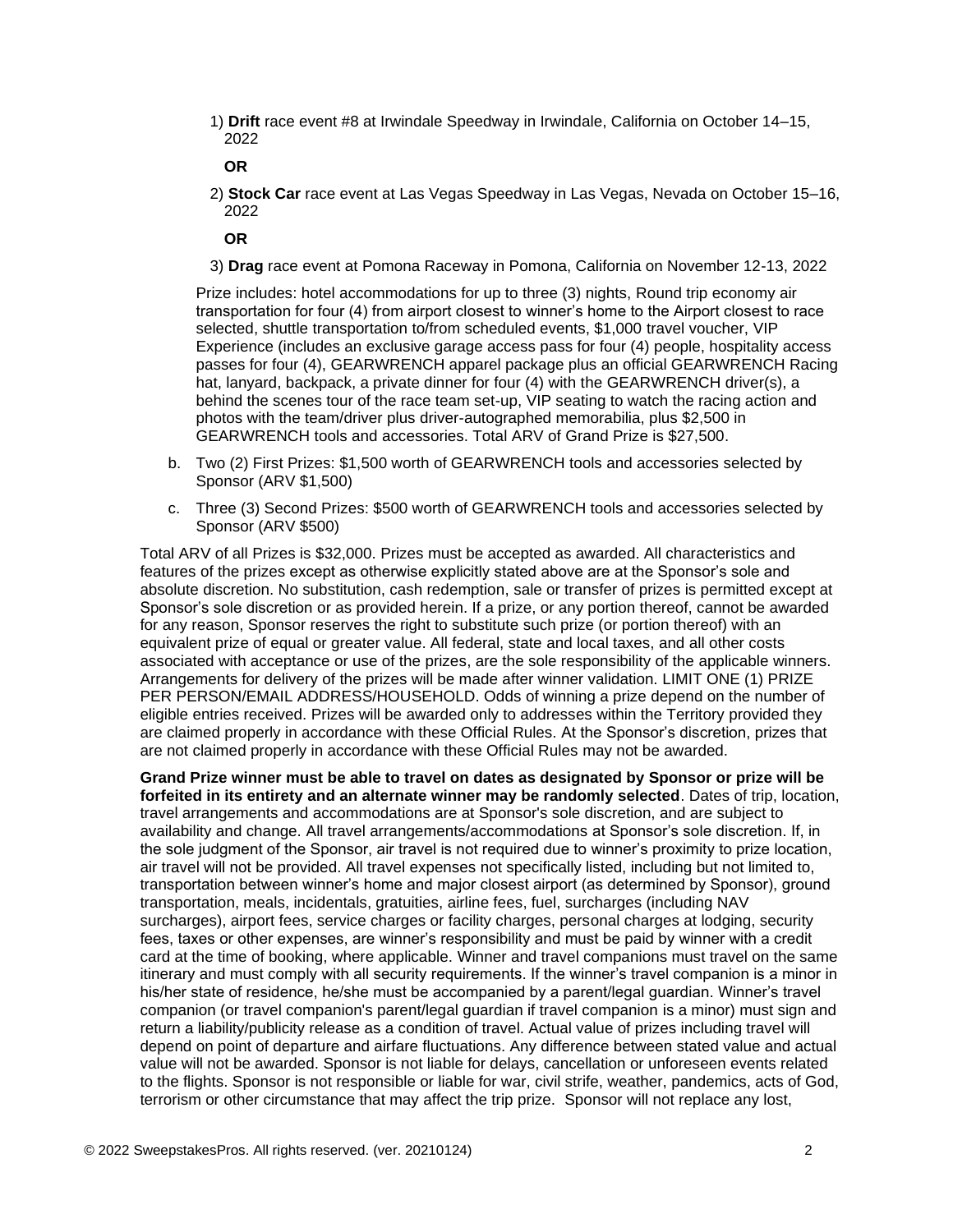1) **Drift** race event #8 at Irwindale Speedway in Irwindale, California on October 14–15, 2022

**OR**

2) **Stock Car** race event at Las Vegas Speedway in Las Vegas, Nevada on October 15–16, 2022

**OR**

3) **Drag** race event at Pomona Raceway in Pomona, California on November 12-13, 2022

Prize includes: hotel accommodations for up to three (3) nights, Round trip economy air transportation for four (4) from airport closest to winner's home to the Airport closest to race selected, shuttle transportation to/from scheduled events, \$1,000 travel voucher, VIP Experience (includes an exclusive garage access pass for four (4) people, hospitality access passes for four (4), GEARWRENCH apparel package plus an official GEARWRENCH Racing hat, lanyard, backpack, a private dinner for four (4) with the GEARWRENCH driver(s), a behind the scenes tour of the race team set-up, VIP seating to watch the racing action and photos with the team/driver plus driver-autographed memorabilia, plus \$2,500 in GEARWRENCH tools and accessories. Total ARV of Grand Prize is \$27,500.

- b. Two (2) First Prizes: \$1,500 worth of GEARWRENCH tools and accessories selected by Sponsor (ARV \$1,500)
- c. Three (3) Second Prizes: \$500 worth of GEARWRENCH tools and accessories selected by Sponsor (ARV \$500)

Total ARV of all Prizes is \$32,000. Prizes must be accepted as awarded. All characteristics and features of the prizes except as otherwise explicitly stated above are at the Sponsor's sole and absolute discretion. No substitution, cash redemption, sale or transfer of prizes is permitted except at Sponsor's sole discretion or as provided herein. If a prize, or any portion thereof, cannot be awarded for any reason, Sponsor reserves the right to substitute such prize (or portion thereof) with an equivalent prize of equal or greater value. All federal, state and local taxes, and all other costs associated with acceptance or use of the prizes, are the sole responsibility of the applicable winners. Arrangements for delivery of the prizes will be made after winner validation. LIMIT ONE (1) PRIZE PER PERSON/EMAIL ADDRESS/HOUSEHOLD. Odds of winning a prize depend on the number of eligible entries received. Prizes will be awarded only to addresses within the Territory provided they are claimed properly in accordance with these Official Rules. At the Sponsor's discretion, prizes that are not claimed properly in accordance with these Official Rules may not be awarded.

**Grand Prize winner must be able to travel on dates as designated by Sponsor or prize will be forfeited in its entirety and an alternate winner may be randomly selected**. Dates of trip, location, travel arrangements and accommodations are at Sponsor's sole discretion, and are subject to availability and change. All travel arrangements/accommodations at Sponsor's sole discretion. If, in the sole judgment of the Sponsor, air travel is not required due to winner's proximity to prize location, air travel will not be provided. All travel expenses not specifically listed, including but not limited to, transportation between winner's home and major closest airport (as determined by Sponsor), ground transportation, meals, incidentals, gratuities, airline fees, fuel, surcharges (including NAV surcharges), airport fees, service charges or facility charges, personal charges at lodging, security fees, taxes or other expenses, are winner's responsibility and must be paid by winner with a credit card at the time of booking, where applicable. Winner and travel companions must travel on the same itinerary and must comply with all security requirements. If the winner's travel companion is a minor in his/her state of residence, he/she must be accompanied by a parent/legal guardian. Winner's travel companion (or travel companion's parent/legal guardian if travel companion is a minor) must sign and return a liability/publicity release as a condition of travel. Actual value of prizes including travel will depend on point of departure and airfare fluctuations. Any difference between stated value and actual value will not be awarded. Sponsor is not liable for delays, cancellation or unforeseen events related to the flights. Sponsor is not responsible or liable for war, civil strife, weather, pandemics, acts of God, terrorism or other circumstance that may affect the trip prize. Sponsor will not replace any lost,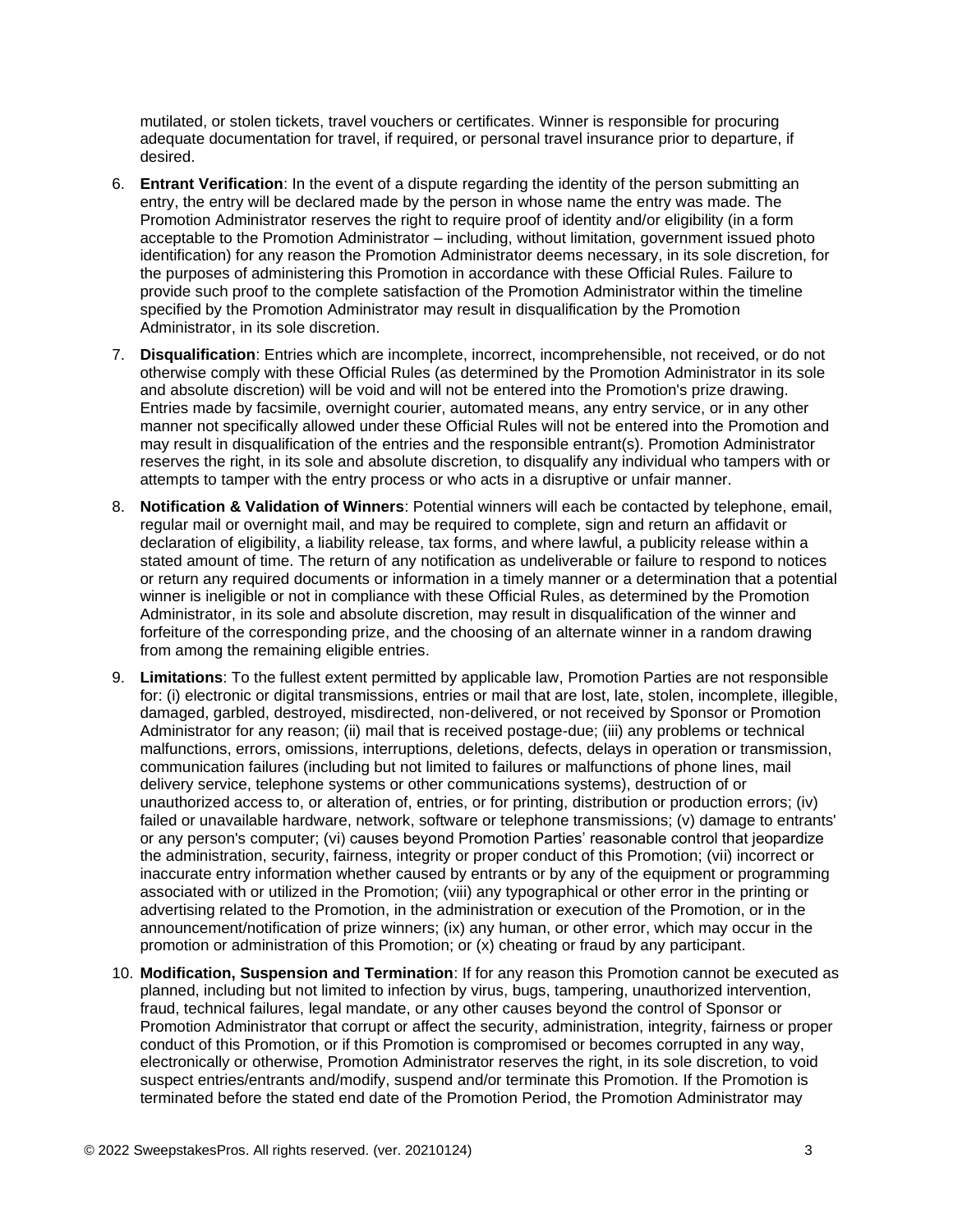mutilated, or stolen tickets, travel vouchers or certificates. Winner is responsible for procuring adequate documentation for travel, if required, or personal travel insurance prior to departure, if desired.

- 6. **Entrant Verification**: In the event of a dispute regarding the identity of the person submitting an entry, the entry will be declared made by the person in whose name the entry was made. The Promotion Administrator reserves the right to require proof of identity and/or eligibility (in a form acceptable to the Promotion Administrator – including, without limitation, government issued photo identification) for any reason the Promotion Administrator deems necessary, in its sole discretion, for the purposes of administering this Promotion in accordance with these Official Rules. Failure to provide such proof to the complete satisfaction of the Promotion Administrator within the timeline specified by the Promotion Administrator may result in disqualification by the Promotion Administrator, in its sole discretion.
- 7. **Disqualification**: Entries which are incomplete, incorrect, incomprehensible, not received, or do not otherwise comply with these Official Rules (as determined by the Promotion Administrator in its sole and absolute discretion) will be void and will not be entered into the Promotion's prize drawing. Entries made by facsimile, overnight courier, automated means, any entry service, or in any other manner not specifically allowed under these Official Rules will not be entered into the Promotion and may result in disqualification of the entries and the responsible entrant(s). Promotion Administrator reserves the right, in its sole and absolute discretion, to disqualify any individual who tampers with or attempts to tamper with the entry process or who acts in a disruptive or unfair manner.
- 8. **Notification & Validation of Winners**: Potential winners will each be contacted by telephone, email, regular mail or overnight mail, and may be required to complete, sign and return an affidavit or declaration of eligibility, a liability release, tax forms, and where lawful, a publicity release within a stated amount of time. The return of any notification as undeliverable or failure to respond to notices or return any required documents or information in a timely manner or a determination that a potential winner is ineligible or not in compliance with these Official Rules, as determined by the Promotion Administrator, in its sole and absolute discretion, may result in disqualification of the winner and forfeiture of the corresponding prize, and the choosing of an alternate winner in a random drawing from among the remaining eligible entries.
- 9. **Limitations**: To the fullest extent permitted by applicable law, Promotion Parties are not responsible for: (i) electronic or digital transmissions, entries or mail that are lost, late, stolen, incomplete, illegible, damaged, garbled, destroyed, misdirected, non-delivered, or not received by Sponsor or Promotion Administrator for any reason; (ii) mail that is received postage-due; (iii) any problems or technical malfunctions, errors, omissions, interruptions, deletions, defects, delays in operation or transmission, communication failures (including but not limited to failures or malfunctions of phone lines, mail delivery service, telephone systems or other communications systems), destruction of or unauthorized access to, or alteration of, entries, or for printing, distribution or production errors; (iv) failed or unavailable hardware, network, software or telephone transmissions; (v) damage to entrants' or any person's computer; (vi) causes beyond Promotion Parties' reasonable control that jeopardize the administration, security, fairness, integrity or proper conduct of this Promotion; (vii) incorrect or inaccurate entry information whether caused by entrants or by any of the equipment or programming associated with or utilized in the Promotion; (viii) any typographical or other error in the printing or advertising related to the Promotion, in the administration or execution of the Promotion, or in the announcement/notification of prize winners; (ix) any human, or other error, which may occur in the promotion or administration of this Promotion; or (x) cheating or fraud by any participant.
- 10. **Modification, Suspension and Termination**: If for any reason this Promotion cannot be executed as planned, including but not limited to infection by virus, bugs, tampering, unauthorized intervention, fraud, technical failures, legal mandate, or any other causes beyond the control of Sponsor or Promotion Administrator that corrupt or affect the security, administration, integrity, fairness or proper conduct of this Promotion, or if this Promotion is compromised or becomes corrupted in any way, electronically or otherwise, Promotion Administrator reserves the right, in its sole discretion, to void suspect entries/entrants and/modify, suspend and/or terminate this Promotion. If the Promotion is terminated before the stated end date of the Promotion Period, the Promotion Administrator may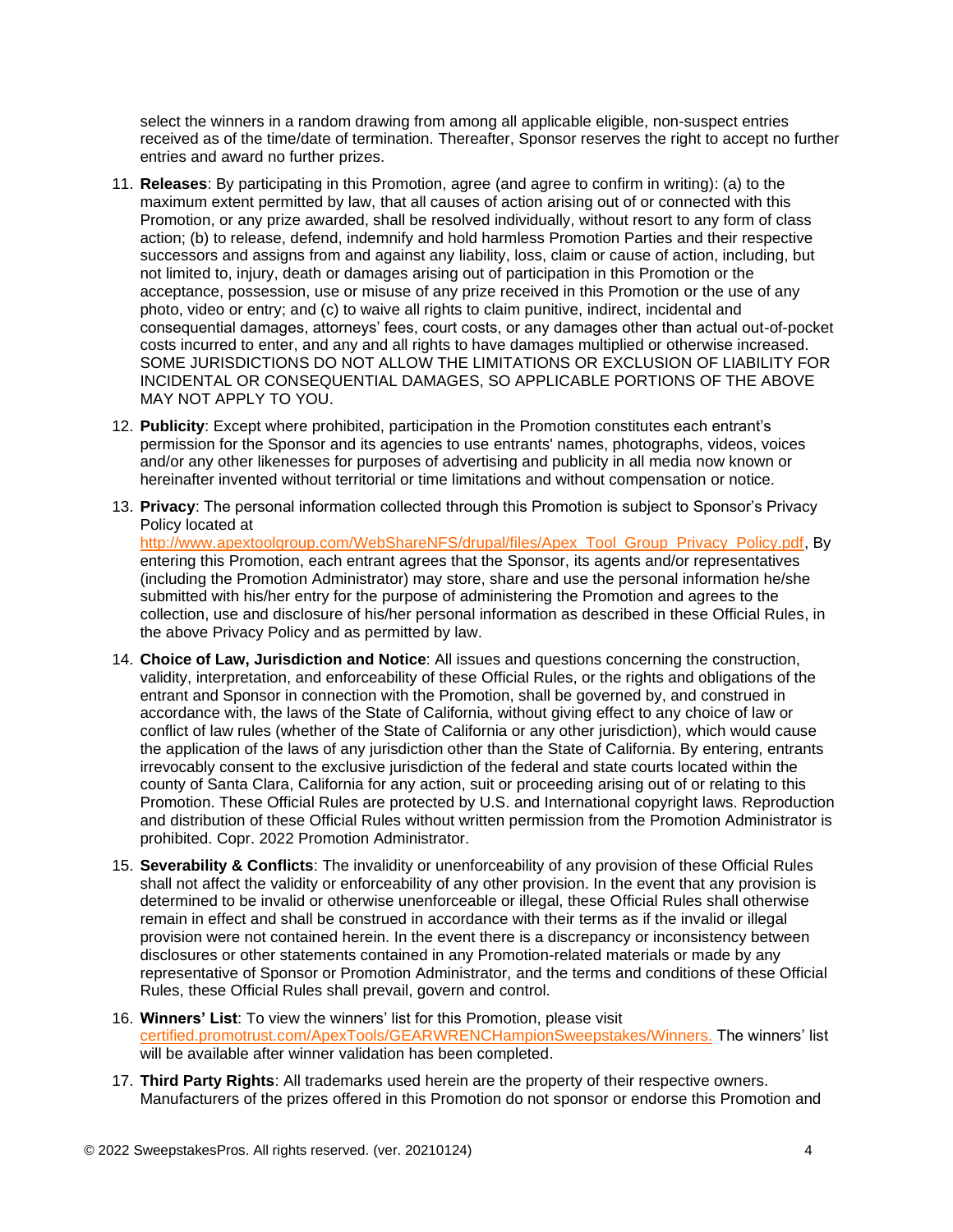select the winners in a random drawing from among all applicable eligible, non-suspect entries received as of the time/date of termination. Thereafter, Sponsor reserves the right to accept no further entries and award no further prizes.

- 11. **Releases**: By participating in this Promotion, agree (and agree to confirm in writing): (a) to the maximum extent permitted by law, that all causes of action arising out of or connected with this Promotion, or any prize awarded, shall be resolved individually, without resort to any form of class action; (b) to release, defend, indemnify and hold harmless Promotion Parties and their respective successors and assigns from and against any liability, loss, claim or cause of action, including, but not limited to, injury, death or damages arising out of participation in this Promotion or the acceptance, possession, use or misuse of any prize received in this Promotion or the use of any photo, video or entry; and (c) to waive all rights to claim punitive, indirect, incidental and consequential damages, attorneys' fees, court costs, or any damages other than actual out-of-pocket costs incurred to enter, and any and all rights to have damages multiplied or otherwise increased. SOME JURISDICTIONS DO NOT ALLOW THE LIMITATIONS OR EXCLUSION OF LIABILITY FOR INCIDENTAL OR CONSEQUENTIAL DAMAGES, SO APPLICABLE PORTIONS OF THE ABOVE MAY NOT APPLY TO YOU.
- 12. **Publicity**: Except where prohibited, participation in the Promotion constitutes each entrant's permission for the Sponsor and its agencies to use entrants' names, photographs, videos, voices and/or any other likenesses for purposes of advertising and publicity in all media now known or hereinafter invented without territorial or time limitations and without compensation or notice.
- 13. **Privacy**: The personal information collected through this Promotion is subject to Sponsor's Privacy Policy located at

[http://www.apextoolgroup.com/WebShareNFS/drupal/files/Apex\\_Tool\\_Group\\_Privacy\\_Policy.pdf,](http://www.apextoolgroup.com/WebShareNFS/drupal/files/Apex_Tool_Group_Privacy_Policy.pdf) By entering this Promotion, each entrant agrees that the Sponsor, its agents and/or representatives (including the Promotion Administrator) may store, share and use the personal information he/she submitted with his/her entry for the purpose of administering the Promotion and agrees to the collection, use and disclosure of his/her personal information as described in these Official Rules, in the above Privacy Policy and as permitted by law.

- 14. **Choice of Law, Jurisdiction and Notice**: All issues and questions concerning the construction, validity, interpretation, and enforceability of these Official Rules, or the rights and obligations of the entrant and Sponsor in connection with the Promotion, shall be governed by, and construed in accordance with, the laws of the State of California, without giving effect to any choice of law or conflict of law rules (whether of the State of California or any other jurisdiction), which would cause the application of the laws of any jurisdiction other than the State of California. By entering, entrants irrevocably consent to the exclusive jurisdiction of the federal and state courts located within the county of Santa Clara, California for any action, suit or proceeding arising out of or relating to this Promotion. These Official Rules are protected by U.S. and International copyright laws. Reproduction and distribution of these Official Rules without written permission from the Promotion Administrator is prohibited. Copr. 2022 Promotion Administrator.
- 15. **Severability & Conflicts**: The invalidity or unenforceability of any provision of these Official Rules shall not affect the validity or enforceability of any other provision. In the event that any provision is determined to be invalid or otherwise unenforceable or illegal, these Official Rules shall otherwise remain in effect and shall be construed in accordance with their terms as if the invalid or illegal provision were not contained herein. In the event there is a discrepancy or inconsistency between disclosures or other statements contained in any Promotion-related materials or made by any representative of Sponsor or Promotion Administrator, and the terms and conditions of these Official Rules, these Official Rules shall prevail, govern and control.
- 16. **Winners' List**: To view the winners' list for this Promotion, please visit [certified.promotrust.com/ApexTools/GEARWRENCHampionSweepstakes/Winners.](https://certified.promotrust.com/ApexTools/GEARWRENCHampionSweepstakes/Winners) The winners' list will be available after winner validation has been completed.
- 17. **Third Party Rights**: All trademarks used herein are the property of their respective owners. Manufacturers of the prizes offered in this Promotion do not sponsor or endorse this Promotion and